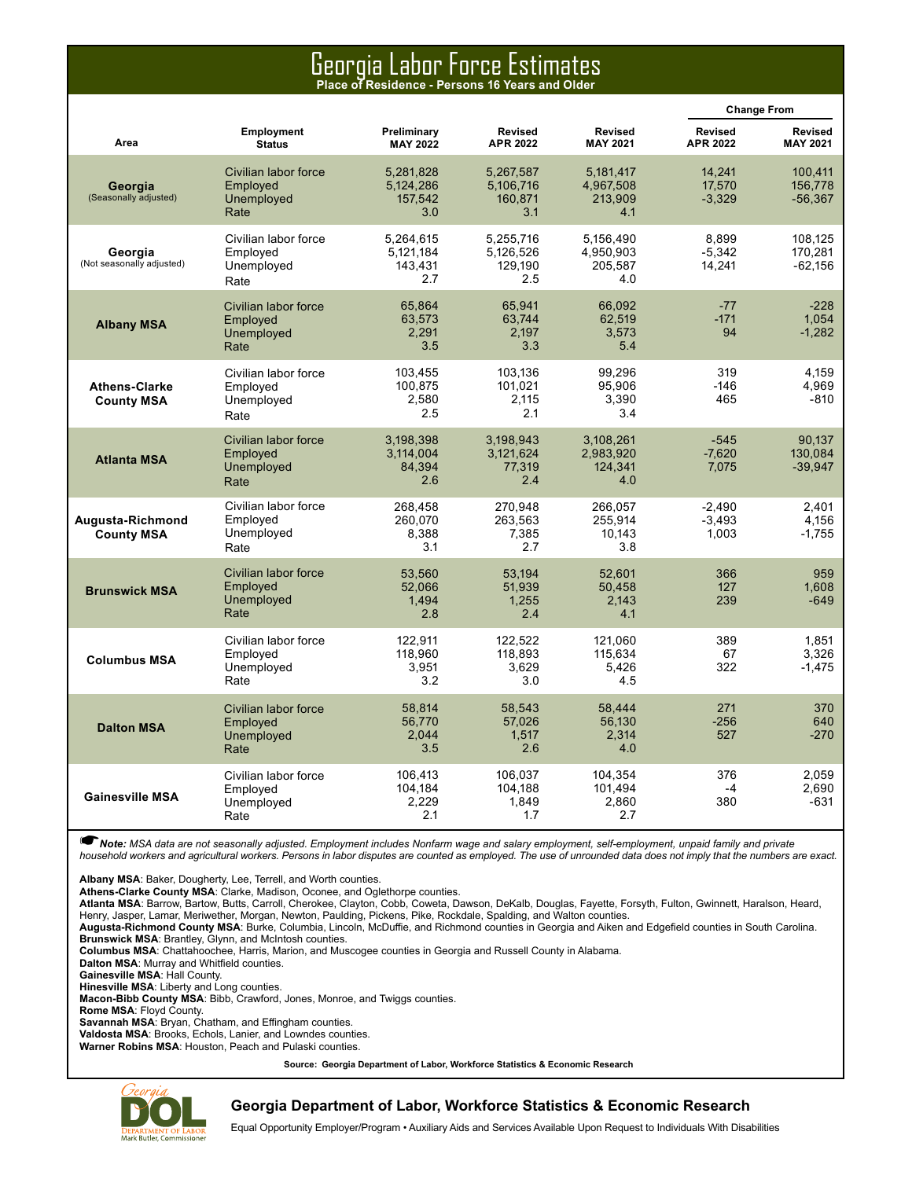### Georgia Labor Force Estimates **Place of Residence - Persons 16 Years and Older**

|                                           |                                                        |                                          |                                          |                                          |                                   | <b>Change From</b>                |
|-------------------------------------------|--------------------------------------------------------|------------------------------------------|------------------------------------------|------------------------------------------|-----------------------------------|-----------------------------------|
| Area                                      | Employment<br><b>Status</b>                            | Preliminary<br><b>MAY 2022</b>           | Revised<br><b>APR 2022</b>               | <b>Revised</b><br><b>MAY 2021</b>        | <b>Revised</b><br><b>APR 2022</b> | <b>Revised</b><br><b>MAY 2021</b> |
| Georgia<br>(Seasonally adjusted)          | Civilian labor force<br>Employed<br>Unemployed<br>Rate | 5.281.828<br>5.124.286<br>157,542<br>3.0 | 5.267.587<br>5.106.716<br>160.871<br>3.1 | 5.181.417<br>4,967,508<br>213,909<br>4.1 | 14.241<br>17,570<br>$-3,329$      | 100.411<br>156.778<br>$-56,367$   |
| Georgia<br>(Not seasonally adjusted)      | Civilian labor force<br>Employed<br>Unemployed<br>Rate | 5.264.615<br>5,121,184<br>143,431<br>2.7 | 5.255.716<br>5,126,526<br>129,190<br>2.5 | 5.156.490<br>4,950,903<br>205,587<br>4.0 | 8.899<br>$-5,342$<br>14,241       | 108.125<br>170,281<br>$-62,156$   |
| <b>Albany MSA</b>                         | Civilian labor force<br>Employed<br>Unemployed<br>Rate | 65,864<br>63,573<br>2,291<br>3.5         | 65.941<br>63,744<br>2,197<br>3.3         | 66,092<br>62.519<br>3,573<br>5.4         | $-77$<br>$-171$<br>94             | $-228$<br>1.054<br>$-1,282$       |
| <b>Athens-Clarke</b><br><b>County MSA</b> | Civilian labor force<br>Emploved<br>Unemployed<br>Rate | 103.455<br>100,875<br>2,580<br>2.5       | 103.136<br>101,021<br>2.115<br>2.1       | 99.296<br>95.906<br>3,390<br>3.4         | 319<br>$-146$<br>465              | 4.159<br>4.969<br>-810            |
| <b>Atlanta MSA</b>                        | Civilian labor force<br>Employed<br>Unemployed<br>Rate | 3,198,398<br>3,114,004<br>84,394<br>2.6  | 3,198,943<br>3,121,624<br>77,319<br>2.4  | 3,108,261<br>2,983,920<br>124,341<br>4.0 | $-545$<br>$-7,620$<br>7,075       | 90.137<br>130.084<br>$-39,947$    |
| Augusta-Richmond<br><b>County MSA</b>     | Civilian labor force<br>Employed<br>Unemployed<br>Rate | 268,458<br>260,070<br>8.388<br>3.1       | 270,948<br>263,563<br>7.385<br>2.7       | 266,057<br>255,914<br>10.143<br>3.8      | $-2.490$<br>$-3,493$<br>1.003     | 2,401<br>4,156<br>$-1.755$        |
| <b>Brunswick MSA</b>                      | Civilian labor force<br>Employed<br>Unemployed<br>Rate | 53.560<br>52.066<br>1.494<br>2.8         | 53.194<br>51,939<br>1,255<br>2.4         | 52.601<br>50.458<br>2.143<br>4.1         | 366<br>127<br>239                 | 959<br>1.608<br>$-649$            |
| <b>Columbus MSA</b>                       | Civilian labor force<br>Employed<br>Unemployed<br>Rate | 122,911<br>118.960<br>3,951<br>3.2       | 122,522<br>118,893<br>3,629<br>3.0       | 121,060<br>115.634<br>5,426<br>4.5       | 389<br>67<br>322                  | 1,851<br>3.326<br>$-1,475$        |
| <b>Dalton MSA</b>                         | Civilian labor force<br>Employed<br>Unemployed<br>Rate | 58,814<br>56,770<br>2.044<br>3.5         | 58,543<br>57,026<br>1.517<br>2.6         | 58.444<br>56,130<br>2.314<br>4.0         | 271<br>$-256$<br>527              | 370<br>640<br>$-270$              |
| <b>Gainesville MSA</b>                    | Civilian labor force<br>Employed<br>Unemployed<br>Rate | 106,413<br>104,184<br>2,229<br>2.1       | 106,037<br>104.188<br>1,849<br>1.7       | 104,354<br>101.494<br>2,860<br>2.7       | 376<br>$-4$<br>380                | 2.059<br>2.690<br>-631            |

☛*Note: MSA data are not seasonally adjusted. Employment includes Nonfarm wage and salary employment, self-employment, unpaid family and private household workers and agricultural workers. Persons in labor disputes are counted as employed. The use of unrounded data does not imply that the numbers are exact.* 

**Albany MSA**: Baker, Dougherty, Lee, Terrell, and Worth counties.

**Athens-Clarke County MSA**: Clarke, Madison, Oconee, and Oglethorpe counties.

**Atlanta MSA**: Barrow, Bartow, Butts, Carroll, Cherokee, Clayton, Cobb, Coweta, Dawson, DeKalb, Douglas, Fayette, Forsyth, Fulton, Gwinnett, Haralson, Heard, Henry, Jasper, Lamar, Meriwether, Morgan, Newton, Paulding, Pickens, Pike, Rockdale, Spalding, and Walton counties.

**Augusta-Richmond County MSA**: Burke, Columbia, Lincoln, McDuffie, and Richmond counties in Georgia and Aiken and Edgefield counties in South Carolina.

**Brunswick MSA**: Brantley, Glynn, and McIntosh counties.

**Columbus MSA**: Chattahoochee, Harris, Marion, and Muscogee counties in Georgia and Russell County in Alabama.

**Dalton MSA**: Murray and Whitfield counties.

**Gainesville MSA**: Hall County.

**Hinesville MSA**: Liberty and Long counties.

**Macon-Bibb County MSA**: Bibb, Crawford, Jones, Monroe, and Twiggs counties.

**Rome MSA**: Floyd County.

**Savannah MSA**: Bryan, Chatham, and Effingham counties.

**Valdosta MSA**: Brooks, Echols, Lanier, and Lowndes counties.

**Warner Robins MSA**: Houston, Peach and Pulaski counties.

**Source: Georgia Department of Labor, Workforce Statistics & Economic Research**



#### **Georgia Department of Labor, Workforce Statistics & Economic Research**

Equal Opportunity Employer/Program • Auxiliary Aids and Services Available Upon Request to Individuals With Disabilities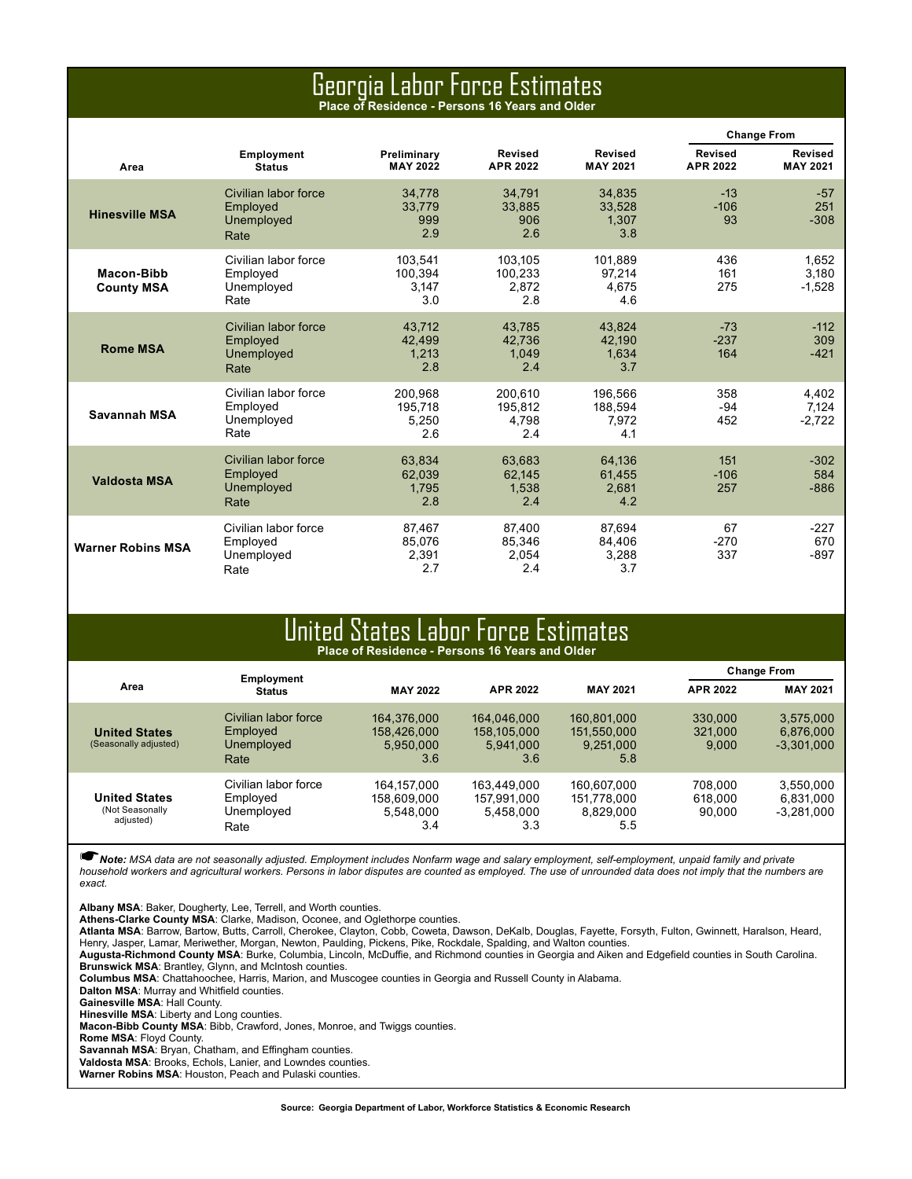### Georgia Labor Force Estimates **Place of Residence - Persons 16 Years and Older**

|                                 |                                                        |                                    |                                    |                                    |                                   | <b>Change From</b>         |
|---------------------------------|--------------------------------------------------------|------------------------------------|------------------------------------|------------------------------------|-----------------------------------|----------------------------|
| Area                            | Employment<br><b>Status</b>                            | Preliminary<br><b>MAY 2022</b>     | <b>Revised</b><br><b>APR 2022</b>  | <b>Revised</b><br><b>MAY 2021</b>  | <b>Revised</b><br><b>APR 2022</b> | Revised<br><b>MAY 2021</b> |
| <b>Hinesville MSA</b>           | Civilian labor force<br>Employed<br>Unemployed<br>Rate | 34.778<br>33.779<br>999<br>2.9     | 34.791<br>33,885<br>906<br>2.6     | 34.835<br>33,528<br>1.307<br>3.8   | $-13$<br>$-106$<br>93             | $-57$<br>251<br>$-308$     |
| Macon-Bibb<br><b>County MSA</b> | Civilian labor force<br>Employed<br>Unemployed<br>Rate | 103.541<br>100.394<br>3.147<br>3.0 | 103.105<br>100.233<br>2.872<br>2.8 | 101.889<br>97.214<br>4.675<br>4.6  | 436<br>161<br>275                 | 1.652<br>3.180<br>$-1,528$ |
| <b>Rome MSA</b>                 | Civilian labor force<br>Employed<br>Unemployed<br>Rate | 43.712<br>42.499<br>1.213<br>2.8   | 43.785<br>42.736<br>1.049<br>2.4   | 43.824<br>42.190<br>1.634<br>3.7   | $-73$<br>$-237$<br>164            | $-112$<br>309<br>$-421$    |
| Savannah MSA                    | Civilian labor force<br>Employed<br>Unemployed<br>Rate | 200,968<br>195.718<br>5.250<br>2.6 | 200,610<br>195.812<br>4.798<br>2.4 | 196,566<br>188.594<br>7.972<br>4.1 | 358<br>$-94$<br>452               | 4,402<br>7.124<br>$-2.722$ |
| <b>Valdosta MSA</b>             | Civilian labor force<br>Employed<br>Unemployed<br>Rate | 63.834<br>62.039<br>1.795<br>2.8   | 63.683<br>62.145<br>1.538<br>2.4   | 64,136<br>61,455<br>2.681<br>4.2   | 151<br>$-106$<br>257              | $-302$<br>584<br>$-886$    |
| <b>Warner Robins MSA</b>        | Civilian labor force<br>Employed<br>Unemployed<br>Rate | 87,467<br>85.076<br>2.391<br>2.7   | 87,400<br>85.346<br>2.054<br>2.4   | 87.694<br>84.406<br>3.288<br>3.7   | 67<br>$-270$<br>337               | $-227$<br>670<br>$-897$    |

### United States Labor Force Estimates **Place of Residence - Persons 16 Years and Older**

|                                                      | Employment                                             |                                                |                                                |                                                | <b>Change From</b>           |                                        |  |  |
|------------------------------------------------------|--------------------------------------------------------|------------------------------------------------|------------------------------------------------|------------------------------------------------|------------------------------|----------------------------------------|--|--|
| Area                                                 | <b>Status</b>                                          | <b>MAY 2022</b>                                | <b>APR 2022</b>                                | <b>MAY 2021</b>                                | <b>APR 2022</b>              | <b>MAY 2021</b>                        |  |  |
| <b>United States</b><br>(Seasonally adjusted)        | Civilian labor force<br>Employed<br>Unemployed<br>Rate | 164,376,000<br>158,426,000<br>5,950,000<br>3.6 | 164.046.000<br>158,105,000<br>5.941.000<br>3.6 | 160.801.000<br>151,550,000<br>9.251.000<br>5.8 | 330.000<br>321,000<br>9.000  | 3,575,000<br>6,876,000<br>$-3,301,000$ |  |  |
| <b>United States</b><br>(Not Seasonally<br>adjusted) | Civilian labor force<br>Employed<br>Unemployed<br>Rate | 164.157.000<br>158.609.000<br>5.548.000<br>3.4 | 163.449.000<br>157.991.000<br>5.458.000<br>3.3 | 160.607.000<br>151.778.000<br>8,829,000<br>5.5 | 708.000<br>618.000<br>90.000 | 3.550.000<br>6.831.000<br>$-3.281.000$ |  |  |

☛*Note: MSA data are not seasonally adjusted. Employment includes Nonfarm wage and salary employment, self-employment, unpaid family and private*  household workers and agricultural workers. Persons in labor disputes are counted as employed. The use of unrounded data does not imply that the numbers are *exact.* 

**Albany MSA**: Baker, Dougherty, Lee, Terrell, and Worth counties.

**Athens-Clarke County MSA**: Clarke, Madison, Oconee, and Oglethorpe counties.

**Atlanta MSA**: Barrow, Bartow, Butts, Carroll, Cherokee, Clayton, Cobb, Coweta, Dawson, DeKalb, Douglas, Fayette, Forsyth, Fulton, Gwinnett, Haralson, Heard, Henry, Jasper, Lamar, Meriwether, Morgan, Newton, Paulding, Pickens, Pike, Rockdale, Spalding, and Walton counties.

**Augusta-Richmond County MSA**: Burke, Columbia, Lincoln, McDuffie, and Richmond counties in Georgia and Aiken and Edgefield counties in South Carolina. **Brunswick MSA**: Brantley, Glynn, and McIntosh counties.

**Columbus MSA**: Chattahoochee, Harris, Marion, and Muscogee counties in Georgia and Russell County in Alabama.

**Dalton MSA**: Murray and Whitfield counties. **Gainesville MSA**: Hall County.

**Hinesville MSA**: Liberty and Long counties.

**Macon-Bibb County MSA**: Bibb, Crawford, Jones, Monroe, and Twiggs counties.

**Rome MSA**: Floyd County.

**Savannah MSA**: Bryan, Chatham, and Effingham counties.

**Valdosta MSA**: Brooks, Echols, Lanier, and Lowndes counties.

**Warner Robins MSA**: Houston, Peach and Pulaski counties.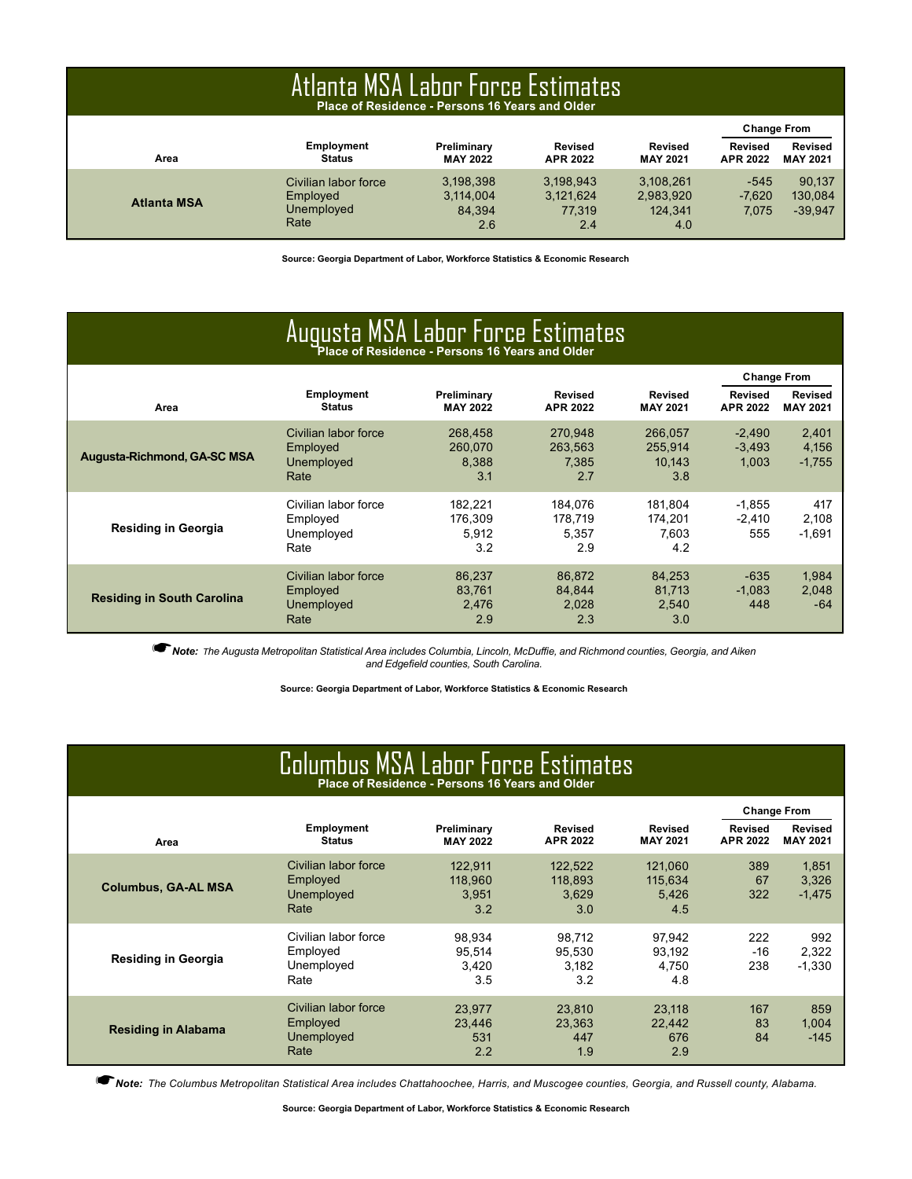|                    | Atlanta MSA Labor Force Estimates<br>Place of Residence - Persons 16 Years and Older |                                         |                                         |                                          |                                   |                                   |  |  |  |  |  |  |
|--------------------|--------------------------------------------------------------------------------------|-----------------------------------------|-----------------------------------------|------------------------------------------|-----------------------------------|-----------------------------------|--|--|--|--|--|--|
|                    |                                                                                      |                                         |                                         |                                          |                                   | <b>Change From</b>                |  |  |  |  |  |  |
| Area               | <b>Employment</b><br><b>Status</b>                                                   | Preliminary<br><b>MAY 2022</b>          | <b>Revised</b><br><b>APR 2022</b>       | <b>Revised</b><br><b>MAY 2021</b>        | <b>Revised</b><br><b>APR 2022</b> | <b>Revised</b><br><b>MAY 2021</b> |  |  |  |  |  |  |
| <b>Atlanta MSA</b> | Civilian labor force<br>Employed<br>Unemployed<br>Rate                               | 3,198,398<br>3,114,004<br>84.394<br>2.6 | 3,198,943<br>3,121,624<br>77.319<br>2.4 | 3,108,261<br>2,983,920<br>124.341<br>4.0 | $-545$<br>$-7,620$<br>7.075       | 90.137<br>130,084<br>$-39,947$    |  |  |  |  |  |  |

**Source: Georgia Department of Labor, Workforce Statistics & Economic Research**

| Augusta MSA Labor Force Estimates  |                                                                                                                                                                   |                                    |                                    |                                     |                               |                            |  |  |  |  |  |
|------------------------------------|-------------------------------------------------------------------------------------------------------------------------------------------------------------------|------------------------------------|------------------------------------|-------------------------------------|-------------------------------|----------------------------|--|--|--|--|--|
| Area                               | <b>Employment</b><br>Preliminary<br><b>Revised</b><br><b>Revised</b><br><b>Status</b><br><b>MAY 2022</b><br><b>MAY 2021</b><br><b>APR 2022</b><br><b>APR 2022</b> |                                    |                                    |                                     |                               |                            |  |  |  |  |  |
| <b>Augusta-Richmond, GA-SC MSA</b> | Civilian labor force<br>Employed<br>Unemployed<br>Rate                                                                                                            | 268,458<br>260.070<br>8.388<br>3.1 | 270,948<br>263.563<br>7.385<br>2.7 | 266,057<br>255.914<br>10.143<br>3.8 | $-2,490$<br>$-3.493$<br>1.003 | 2,401<br>4,156<br>$-1,755$ |  |  |  |  |  |
| <b>Residing in Georgia</b>         | Civilian labor force<br>Employed<br>Unemployed<br>Rate                                                                                                            | 182,221<br>176.309<br>5,912<br>3.2 | 184.076<br>178.719<br>5,357<br>2.9 | 181.804<br>174.201<br>7.603<br>4.2  | $-1.855$<br>$-2.410$<br>555   | 417<br>2.108<br>$-1,691$   |  |  |  |  |  |
| <b>Residing in South Carolina</b>  | Civilian labor force<br>Employed<br>Unemployed<br>Rate                                                                                                            | 86,237<br>83,761<br>2.476<br>2.9   | 86,872<br>84.844<br>2.028<br>2.3   | 84,253<br>81.713<br>2.540<br>3.0    | $-635$<br>$-1.083$<br>448     | 1,984<br>2.048<br>-64      |  |  |  |  |  |

☛*Note: <sup>T</sup>he Augusta Metropolitan Statistical Area includes Columbia, Lincoln, McDuffie, and Richmond counties, Georgia, and Aiken and Edgefield counties, South Carolina.*

**Source: Georgia Department of Labor, Workforce Statistics & Economic Research**

## Columbus MSA Labor Force Estimates **Place of Residence - Persons 16 Years and Older**

|                            |                                                        |                                    |                                    |                                    | <b>Change From</b>         |                                   |
|----------------------------|--------------------------------------------------------|------------------------------------|------------------------------------|------------------------------------|----------------------------|-----------------------------------|
| Area                       | <b>Employment</b><br><b>Status</b>                     | Preliminary<br><b>MAY 2022</b>     | Revised<br><b>APR 2022</b>         | <b>Revised</b><br><b>MAY 2021</b>  | Revised<br><b>APR 2022</b> | <b>Revised</b><br><b>MAY 2021</b> |
| <b>Columbus, GA-AL MSA</b> | Civilian labor force<br>Employed<br>Unemployed<br>Rate | 122.911<br>118.960<br>3.951<br>3.2 | 122.522<br>118.893<br>3.629<br>3.0 | 121.060<br>115.634<br>5.426<br>4.5 | 389<br>67<br>322           | 1,851<br>3,326<br>$-1,475$        |
| <b>Residing in Georgia</b> | Civilian labor force<br>Employed<br>Unemployed<br>Rate | 98.934<br>95.514<br>3.420<br>3.5   | 98.712<br>95.530<br>3.182<br>3.2   | 97.942<br>93.192<br>4.750<br>4.8   | 222<br>-16<br>238          | 992<br>2,322<br>$-1,330$          |
| <b>Residing in Alabama</b> | Civilian labor force<br>Employed<br>Unemployed<br>Rate | 23.977<br>23.446<br>531<br>2.2     | 23.810<br>23,363<br>447<br>1.9     | 23.118<br>22.442<br>676<br>2.9     | 167<br>83<br>84            | 859<br>1,004<br>$-145$            |

☛*Note: The Columbus Metropolitan Statistical Area includes Chattahoochee, Harris, and Muscogee counties, Georgia, and Russell county, Alabama.*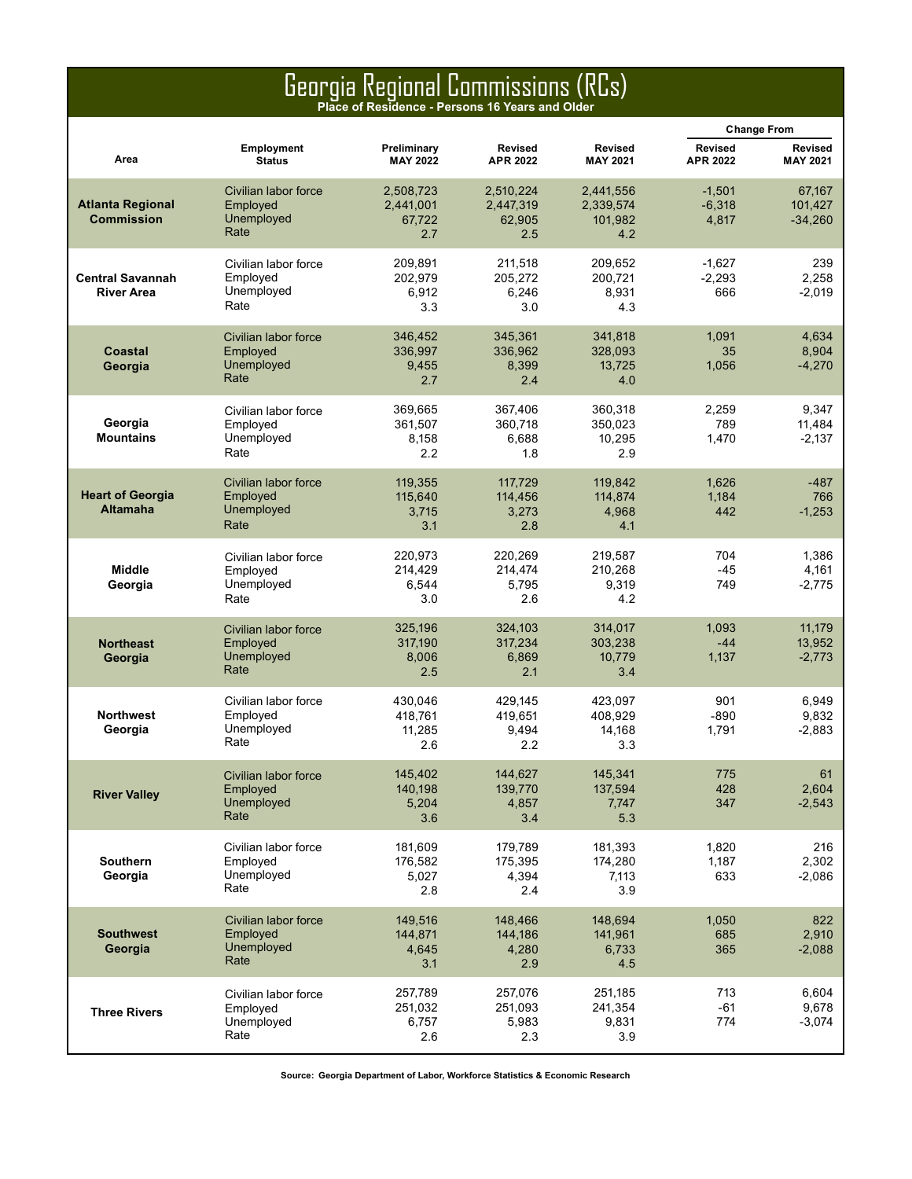### Georgia Regional Commissions (RCs)

**Place of Residence - Persons 16 Years and Older**

|                                              |                                                        |                                         |                                         |                                          |                               | <b>Change From</b>             |
|----------------------------------------------|--------------------------------------------------------|-----------------------------------------|-----------------------------------------|------------------------------------------|-------------------------------|--------------------------------|
| Area                                         | <b>Employment</b><br><b>Status</b>                     | Preliminary<br><b>MAY 2022</b>          | <b>Revised</b><br><b>APR 2022</b>       | <b>Revised</b><br><b>MAY 2021</b>        | Revised<br>APR 2022           | Revised<br><b>MAY 2021</b>     |
| <b>Atlanta Regional</b><br><b>Commission</b> | Civilian labor force<br>Employed<br>Unemployed<br>Rate | 2,508,723<br>2,441,001<br>67,722<br>2.7 | 2,510,224<br>2,447,319<br>62,905<br>2.5 | 2,441,556<br>2,339,574<br>101,982<br>4.2 | $-1,501$<br>$-6,318$<br>4,817 | 67,167<br>101,427<br>$-34,260$ |
| <b>Central Savannah</b><br><b>River Area</b> | Civilian labor force<br>Employed<br>Unemployed<br>Rate | 209,891<br>202,979<br>6,912<br>3.3      | 211,518<br>205,272<br>6,246<br>3.0      | 209,652<br>200,721<br>8,931<br>4.3       | $-1,627$<br>$-2,293$<br>666   | 239<br>2,258<br>$-2,019$       |
| Coastal<br>Georgia                           | Civilian labor force<br>Employed<br>Unemployed<br>Rate | 346,452<br>336,997<br>9,455<br>2.7      | 345,361<br>336,962<br>8,399<br>2.4      | 341,818<br>328,093<br>13,725<br>4.0      | 1,091<br>35<br>1,056          | 4,634<br>8,904<br>$-4,270$     |
| Georgia<br><b>Mountains</b>                  | Civilian labor force<br>Employed<br>Unemployed<br>Rate | 369,665<br>361,507<br>8,158<br>2.2      | 367,406<br>360.718<br>6,688<br>1.8      | 360,318<br>350,023<br>10,295<br>2.9      | 2,259<br>789<br>1,470         | 9,347<br>11,484<br>$-2,137$    |
| <b>Heart of Georgia</b><br><b>Altamaha</b>   | Civilian labor force<br>Employed<br>Unemployed<br>Rate | 119,355<br>115,640<br>3,715<br>3.1      | 117,729<br>114,456<br>3,273<br>2.8      | 119.842<br>114,874<br>4,968<br>4.1       | 1,626<br>1,184<br>442         | $-487$<br>766<br>$-1,253$      |
| <b>Middle</b><br>Georgia                     | Civilian labor force<br>Employed<br>Unemployed<br>Rate | 220,973<br>214,429<br>6,544<br>3.0      | 220,269<br>214,474<br>5,795<br>2.6      | 219,587<br>210,268<br>9,319<br>4.2       | 704<br>$-45$<br>749           | 1,386<br>4,161<br>$-2,775$     |
| <b>Northeast</b><br>Georgia                  | Civilian labor force<br>Employed<br>Unemployed<br>Rate | 325,196<br>317,190<br>8,006<br>2.5      | 324,103<br>317,234<br>6,869<br>2.1      | 314,017<br>303,238<br>10,779<br>3.4      | 1,093<br>$-44$<br>1,137       | 11,179<br>13,952<br>$-2,773$   |
| <b>Northwest</b><br>Georgia                  | Civilian labor force<br>Employed<br>Unemployed<br>Rate | 430.046<br>418,761<br>11,285<br>2.6     | 429,145<br>419,651<br>9,494<br>2.2      | 423,097<br>408,929<br>14,168<br>3.3      | 901<br>$-890$<br>1,791        | 6,949<br>9,832<br>$-2,883$     |
| <b>River Valley</b>                          | Civilian labor force<br>Employed<br>Unemployed<br>Rate | 145,402<br>140,198<br>5,204<br>3.6      | 144,627<br>139,770<br>4,857<br>3.4      | 145,341<br>137,594<br>7,747<br>5.3       | 775<br>428<br>347             | 61<br>2,604<br>$-2,543$        |
| <b>Southern</b><br>Georgia                   | Civilian labor force<br>Employed<br>Unemployed<br>Rate | 181,609<br>176,582<br>5,027<br>2.8      | 179,789<br>175,395<br>4,394<br>2.4      | 181,393<br>174,280<br>7,113<br>3.9       | 1,820<br>1,187<br>633         | 216<br>2,302<br>$-2,086$       |
| <b>Southwest</b><br>Georgia                  | Civilian labor force<br>Employed<br>Unemployed<br>Rate | 149,516<br>144,871<br>4.645<br>3.1      | 148,466<br>144,186<br>4,280<br>2.9      | 148,694<br>141,961<br>6,733<br>4.5       | 1,050<br>685<br>365           | 822<br>2,910<br>$-2,088$       |
| <b>Three Rivers</b>                          | Civilian labor force<br>Employed<br>Unemployed<br>Rate | 257,789<br>251,032<br>6,757<br>2.6      | 257,076<br>251,093<br>5,983<br>2.3      | 251,185<br>241,354<br>9,831<br>3.9       | 713<br>$-61$<br>774           | 6,604<br>9,678<br>$-3,074$     |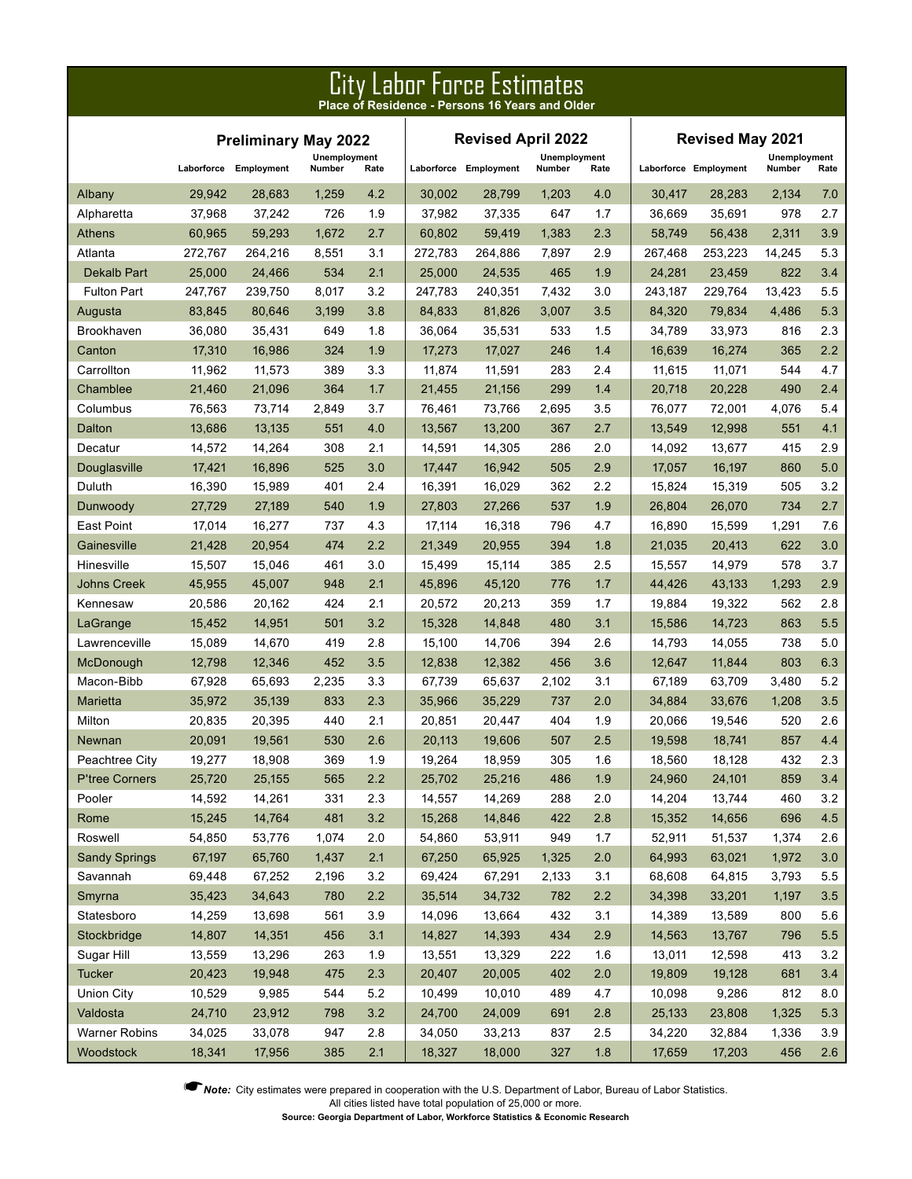|                      | PITA FANNI. LOLCA EZIIIII9TA2<br>Place of Residence - Persons 16 Years and Older |                             |                        |         |         |                           |                        |                         |         |                       |                        |       |  |
|----------------------|----------------------------------------------------------------------------------|-----------------------------|------------------------|---------|---------|---------------------------|------------------------|-------------------------|---------|-----------------------|------------------------|-------|--|
|                      |                                                                                  | <b>Preliminary May 2022</b> |                        |         |         | <b>Revised April 2022</b> |                        | <b>Revised May 2021</b> |         |                       |                        |       |  |
|                      |                                                                                  | Laborforce Employment       | Unemployment<br>Number | Rate    |         | Laborforce Employment     | Unemployment<br>Number | Rate                    |         | Laborforce Employment | Unemployment<br>Number | Rate  |  |
| Albany               | 29,942                                                                           | 28,683                      | 1,259                  | 4.2     | 30,002  | 28,799                    | 1,203                  | 4.0                     | 30,417  | 28,283                | 2,134                  | 7.0   |  |
| Alpharetta           | 37,968                                                                           | 37,242                      | 726                    | 1.9     | 37,982  | 37,335                    | 647                    | 1.7                     | 36,669  | 35,691                | 978                    | 2.7   |  |
| <b>Athens</b>        | 60,965                                                                           | 59,293                      | 1,672                  | 2.7     | 60,802  | 59,419                    | 1,383                  | 2.3                     | 58,749  | 56,438                | 2,311                  | 3.9   |  |
| Atlanta              | 272,767                                                                          | 264,216                     | 8,551                  | 3.1     | 272,783 | 264,886                   | 7,897                  | 2.9                     | 267,468 | 253,223               | 14,245                 | 5.3   |  |
| <b>Dekalb Part</b>   | 25,000                                                                           | 24,466                      | 534                    | 2.1     | 25,000  | 24,535                    | 465                    | 1.9                     | 24,281  | 23,459                | 822                    | 3.4   |  |
| <b>Fulton Part</b>   | 247,767                                                                          | 239,750                     | 8,017                  | 3.2     | 247,783 | 240,351                   | 7,432                  | 3.0                     | 243,187 | 229,764               | 13,423                 | 5.5   |  |
| Augusta              | 83,845                                                                           | 80,646                      | 3,199                  | 3.8     | 84,833  | 81,826                    | 3,007                  | 3.5                     | 84,320  | 79,834                | 4,486                  | 5.3   |  |
| Brookhaven           | 36,080                                                                           | 35,431                      | 649                    | 1.8     | 36,064  | 35,531                    | 533                    | 1.5                     | 34,789  | 33,973                | 816                    | 2.3   |  |
| Canton               | 17,310                                                                           | 16,986                      | 324                    | 1.9     | 17,273  | 17,027                    | 246                    | 1.4                     | 16,639  | 16,274                | 365                    | 2.2   |  |
| Carrollton           | 11,962                                                                           | 11,573                      | 389                    | 3.3     | 11,874  | 11,591                    | 283                    | 2.4                     | 11,615  | 11,071                | 544                    | 4.7   |  |
| Chamblee             | 21,460                                                                           | 21,096                      | 364                    | 1.7     | 21,455  | 21,156                    | 299                    | 1.4                     | 20,718  | 20,228                | 490                    | 2.4   |  |
| Columbus             | 76,563                                                                           | 73,714                      | 2,849                  | 3.7     | 76,461  | 73,766                    | 2,695                  | 3.5                     | 76,077  | 72,001                | 4,076                  | 5.4   |  |
| Dalton               | 13,686                                                                           | 13,135                      | 551                    | 4.0     | 13,567  | 13,200                    | 367                    | 2.7                     | 13,549  | 12,998                | 551                    | 4.1   |  |
| Decatur              | 14,572                                                                           | 14,264                      | 308                    | 2.1     | 14,591  | 14,305                    | 286                    | 2.0                     | 14,092  | 13,677                | 415                    | 2.9   |  |
| Douglasville         | 17,421                                                                           | 16,896                      | 525                    | 3.0     | 17,447  | 16,942                    | 505                    | 2.9                     | 17,057  | 16,197                | 860                    | 5.0   |  |
| Duluth               | 16,390                                                                           | 15,989                      | 401                    | 2.4     | 16,391  | 16,029                    | 362                    | 2.2                     | 15,824  | 15,319                | 505                    | 3.2   |  |
| Dunwoody             | 27,729                                                                           | 27,189                      | 540                    | 1.9     | 27,803  | 27,266                    | 537                    | 1.9                     | 26,804  | 26,070                | 734                    | 2.7   |  |
| East Point           | 17,014                                                                           | 16,277                      | 737                    | 4.3     | 17,114  | 16,318                    | 796                    | 4.7                     | 16,890  | 15,599                | 1,291                  | 7.6   |  |
| Gainesville          | 21,428                                                                           | 20,954                      | 474                    | 2.2     | 21,349  | 20,955                    | 394                    | 1.8                     | 21,035  | 20,413                | 622                    | 3.0   |  |
| Hinesville           | 15,507                                                                           | 15,046                      | 461                    | 3.0     | 15,499  | 15,114                    | 385                    | 2.5                     | 15,557  | 14,979                | 578                    | 3.7   |  |
| <b>Johns Creek</b>   | 45,955                                                                           | 45,007                      | 948                    | 2.1     | 45,896  | 45,120                    | 776                    | 1.7                     | 44,426  | 43,133                | 1,293                  | 2.9   |  |
| Kennesaw             | 20,586                                                                           | 20,162                      | 424                    | 2.1     | 20,572  | 20,213                    | 359                    | 1.7                     | 19,884  | 19,322                | 562                    | 2.8   |  |
| LaGrange             | 15,452                                                                           | 14,951                      | 501                    | 3.2     | 15,328  | 14,848                    | 480                    | 3.1                     | 15,586  | 14,723                | 863                    | 5.5   |  |
| Lawrenceville        | 15,089                                                                           | 14,670                      | 419                    | 2.8     | 15,100  | 14,706                    | 394                    | 2.6                     | 14,793  | 14,055                | 738                    | 5.0   |  |
| McDonough            | 12,798                                                                           | 12,346                      | 452                    | 3.5     | 12,838  | 12,382                    | 456                    | 3.6                     | 12,647  | 11,844                | 803                    | 6.3   |  |
| Macon-Bibb           | 67,928                                                                           | 65,693                      | 2,235                  | 3.3     | 67,739  | 65,637                    | 2,102                  | 3.1                     | 67,189  | 63,709                | 3,480                  | 5.2   |  |
| Marietta             | 35,972                                                                           | 35,139                      | 833                    | 2.3     | 35,966  | 35,229                    | 737                    | 2.0                     | 34,884  | 33,676                | 1,208                  | 3.5   |  |
| Milton               | 20,835                                                                           | 20,395                      | 440                    | 2.1     | 20,851  | 20,447                    | 404                    | 1.9                     | 20,066  | 19,546                | 520                    | 2.6   |  |
| <b>Newnan</b>        | 20,091                                                                           | 19,561                      | 530                    | 2.6     | 20,113  | 19,606                    | 507                    | 2.5                     | 19,598  | 18,741                | 857                    | 4.4   |  |
| Peachtree City       | 19,277                                                                           | 18,908                      | 369                    | 1.9     | 19,264  | 18,959                    | 305                    | 1.6                     | 18,560  | 18,128                | 432                    | 2.3   |  |
| P'tree Corners       | 25,720                                                                           | 25,155                      | 565                    | 2.2     | 25,702  | 25,216                    | 486                    | 1.9                     | 24,960  | 24,101                | 859                    | 3.4   |  |
| Pooler               | 14,592                                                                           | 14,261                      | 331                    | 2.3     | 14,557  | 14,269                    | 288                    | 2.0                     | 14,204  | 13,744                | 460                    | 3.2   |  |
| Rome                 | 15,245                                                                           | 14,764                      | 481                    | 3.2     | 15,268  | 14,846                    | 422                    | 2.8                     | 15,352  | 14,656                | 696                    | 4.5   |  |
| Roswell              | 54,850                                                                           | 53,776                      | 1,074                  | 2.0     | 54,860  | 53,911                    | 949                    | 1.7                     | 52,911  | 51,537                | 1,374                  | 2.6   |  |
| <b>Sandy Springs</b> | 67,197                                                                           | 65,760                      | 1,437                  | 2.1     | 67,250  | 65,925                    | 1,325                  | 2.0                     | 64,993  | 63,021                | 1,972                  | 3.0   |  |
| Savannah             | 69,448                                                                           | 67,252                      | 2,196                  | 3.2     | 69,424  | 67,291                    | 2,133                  | 3.1                     | 68,608  | 64,815                | 3,793                  | 5.5   |  |
| Smyrna               | 35,423                                                                           | 34,643                      | 780                    | 2.2     | 35,514  | 34,732                    | 782                    | 2.2                     | 34,398  | 33,201                | 1,197                  | $3.5$ |  |
| Statesboro           | 14,259                                                                           | 13,698                      | 561                    | 3.9     | 14,096  | 13,664                    | 432                    | 3.1                     | 14,389  | 13,589                | 800                    | 5.6   |  |
| Stockbridge          | 14,807                                                                           | 14,351                      | 456                    | 3.1     | 14,827  | 14,393                    | 434                    | 2.9                     | 14,563  | 13,767                | 796                    | $5.5$ |  |
| Sugar Hill           | 13,559                                                                           | 13,296                      | 263                    | 1.9     | 13,551  | 13,329                    | 222                    | 1.6                     | 13,011  | 12,598                | 413                    | 3.2   |  |
| <b>Tucker</b>        | 20,423                                                                           | 19,948                      | 475                    | 2.3     | 20,407  | 20,005                    | 402                    | 2.0                     | 19,809  | 19,128                | 681                    | 3.4   |  |
| <b>Union City</b>    | 10,529                                                                           | 9,985                       | 544                    | $5.2\,$ | 10,499  | 10,010                    | 489                    | 4.7                     | 10,098  | 9,286                 | 812                    | 8.0   |  |
| Valdosta             | 24,710                                                                           | 23,912                      | 798                    | 3.2     | 24,700  | 24,009                    | 691                    | 2.8                     | 25,133  | 23,808                | 1,325                  | $5.3$ |  |
| <b>Warner Robins</b> | 34,025                                                                           | 33,078                      | 947                    | 2.8     | 34,050  | 33,213                    | 837                    | 2.5                     | 34,220  | 32,884                | 1,336                  | 3.9   |  |
| Woodstock            | 18,341                                                                           | 17,956                      | 385                    | 2.1     | 18,327  | 18,000                    | 327                    | $1.8$                   | 17,659  | 17,203                | 456                    | 2.6   |  |

City Labor Force Estimates

☛*Note:* City estimates were prepared in cooperation with the U.S. Department of Labor, Bureau of Labor Statistics.

All cities listed have total population of 25,000 or more.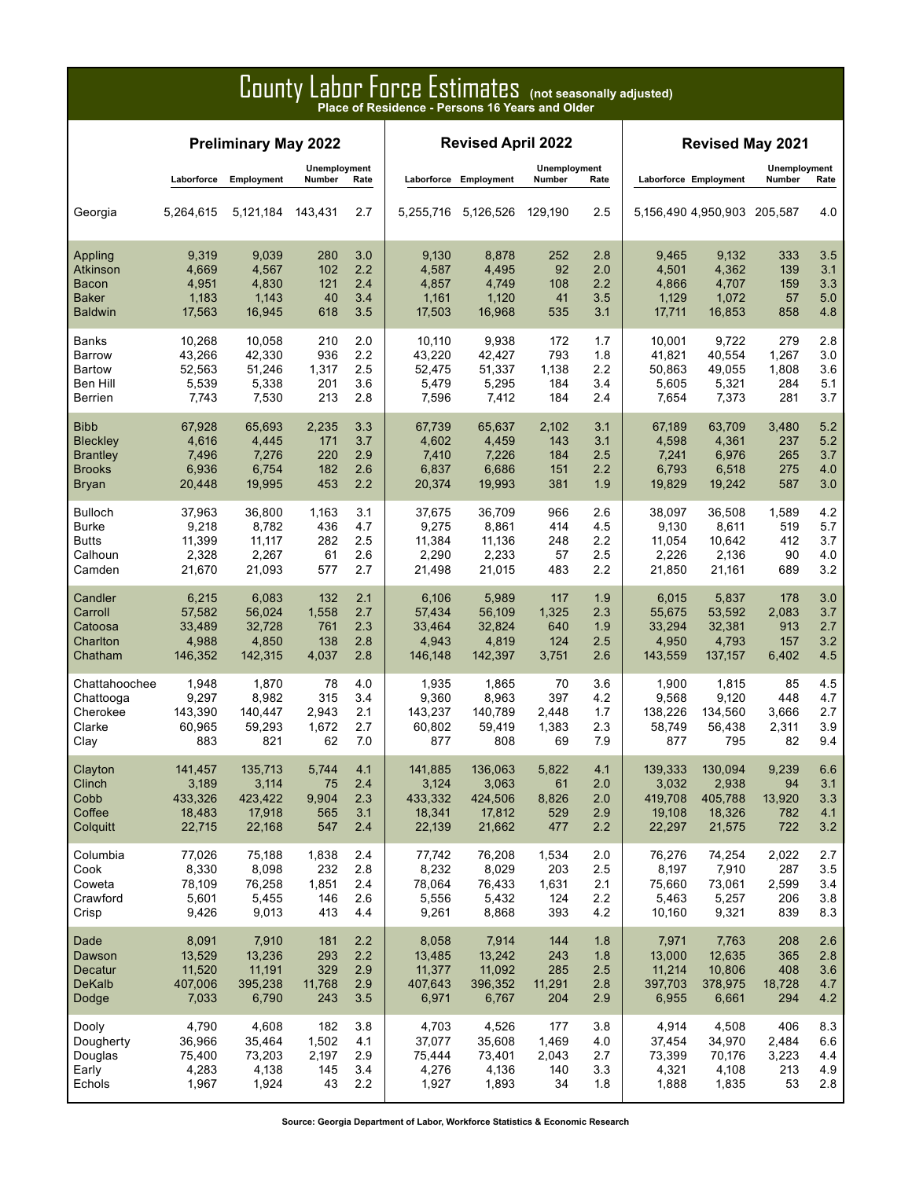### County Labor Force Estimates **(not seasonally adjusted) Place of Residence - Persons 16 Years and Older**

|                 |            | <b>Revised April 2022</b> |                               |      |         | <b>Revised May 2021</b> |                        |      |                             |         |                        |      |
|-----------------|------------|---------------------------|-------------------------------|------|---------|-------------------------|------------------------|------|-----------------------------|---------|------------------------|------|
|                 | Laborforce | Employment                | <b>Unemployment</b><br>Number | Rate |         | Laborforce Employment   | Unemployment<br>Number | Rate | Laborforce Employment       |         | Unemployment<br>Number | Rate |
| Georgia         | 5,264,615  | 5,121,184                 | 143,431                       | 2.7  |         | 5,255,716 5,126,526     | 129.190                | 2.5  | 5,156,490 4,950,903 205,587 |         |                        | 4.0  |
| Appling         | 9,319      | 9,039                     | 280                           | 3.0  | 9,130   | 8,878                   | 252                    | 2.8  | 9,465                       | 9,132   | 333                    | 3.5  |
| <b>Atkinson</b> | 4,669      | 4,567                     | 102                           | 2.2  | 4,587   | 4,495                   | 92                     | 2.0  | 4,501                       | 4,362   | 139                    | 3.1  |
| Bacon           | 4,951      | 4,830                     | 121                           | 2.4  | 4,857   | 4,749                   | 108                    | 2.2  | 4,866                       | 4,707   | 159                    | 3.3  |
| <b>Baker</b>    | 1,183      | 1,143                     | 40                            | 3.4  | 1,161   | 1,120                   | 41                     | 3.5  | 1,129                       | 1,072   | 57                     | 5.0  |
| <b>Baldwin</b>  | 17,563     | 16,945                    | 618                           | 3.5  | 17,503  | 16,968                  | 535                    | 3.1  | 17,711                      | 16,853  | 858                    | 4.8  |
| Banks           | 10,268     | 10.058                    | 210                           | 2.0  | 10,110  | 9,938                   | 172                    | 1.7  | 10,001                      | 9,722   | 279                    | 2.8  |
| <b>Barrow</b>   | 43,266     | 42,330                    | 936                           | 2.2  | 43,220  | 42,427                  | 793                    | 1.8  | 41,821                      | 40,554  | 1,267                  | 3.0  |
| <b>Bartow</b>   | 52,563     | 51,246                    | 1,317                         | 2.5  | 52,475  | 51,337                  | 1,138                  | 2.2  | 50,863                      | 49,055  | 1,808                  | 3.6  |
| Ben Hill        | 5,539      | 5,338                     | 201                           | 3.6  | 5,479   | 5,295                   | 184                    | 3.4  | 5,605                       | 5,321   | 284                    | 5.1  |
| <b>Berrien</b>  | 7,743      | 7,530                     | 213                           | 2.8  | 7,596   | 7,412                   | 184                    | 2.4  | 7,654                       | 7,373   | 281                    | 3.7  |
| <b>Bibb</b>     | 67,928     | 65,693                    | 2,235                         | 3.3  | 67.739  | 65,637                  | 2,102                  | 3.1  | 67,189                      | 63,709  | 3,480                  | 5.2  |
| <b>Bleckley</b> | 4,616      | 4,445                     | 171                           | 3.7  | 4,602   | 4,459                   | 143                    | 3.1  | 4,598                       | 4,361   | 237                    | 5.2  |
| <b>Brantley</b> | 7,496      | 7,276                     | 220                           | 2.9  | 7,410   | 7,226                   | 184                    | 2.5  | 7,241                       | 6,976   | 265                    | 3.7  |
| <b>Brooks</b>   | 6,936      | 6,754                     | 182                           | 2.6  | 6,837   | 6,686                   | 151                    | 2.2  | 6,793                       | 6,518   | 275                    | 4.0  |
| Bryan           | 20,448     | 19,995                    | 453                           | 2.2  | 20,374  | 19,993                  | 381                    | 1.9  | 19,829                      | 19,242  | 587                    | 3.0  |
| <b>Bulloch</b>  | 37,963     | 36,800                    | 1,163                         | 3.1  | 37,675  | 36,709                  | 966                    | 2.6  | 38,097                      | 36,508  | 1,589                  | 4.2  |
| <b>Burke</b>    | 9,218      | 8,782                     | 436                           | 4.7  | 9,275   | 8,861                   | 414                    | 4.5  | 9,130                       | 8,611   | 519                    | 5.7  |
| <b>Butts</b>    | 11,399     | 11,117                    | 282                           | 2.5  | 11,384  | 11,136                  | 248                    | 2.2  | 11,054                      | 10,642  | 412                    | 3.7  |
| Calhoun         | 2,328      | 2,267                     | 61                            | 2.6  | 2,290   | 2,233                   | 57                     | 2.5  | 2,226                       | 2,136   | 90                     | 4.0  |
| Camden          | 21,670     | 21,093                    | 577                           | 2.7  | 21,498  | 21,015                  | 483                    | 2.2  | 21,850                      | 21,161  | 689                    | 3.2  |
| Candler         | 6,215      | 6,083                     | 132                           | 2.1  | 6,106   | 5,989                   | 117                    | 1.9  | 6,015                       | 5,837   | 178                    | 3.0  |
| Carroll         | 57,582     | 56,024                    | 1,558                         | 2.7  | 57,434  | 56,109                  | 1,325                  | 2.3  | 55,675                      | 53,592  | 2,083                  | 3.7  |
| Catoosa         | 33,489     | 32,728                    | 761                           | 2.3  | 33,464  | 32,824                  | 640                    | 1.9  | 33,294                      | 32,381  | 913                    | 2.7  |
| Charlton        | 4,988      | 4,850                     | 138                           | 2.8  | 4,943   | 4,819                   | 124                    | 2.5  | 4,950                       | 4,793   | 157                    | 3.2  |
| Chatham         | 146,352    | 142,315                   | 4,037                         | 2.8  | 146,148 | 142,397                 | 3,751                  | 2.6  | 143,559                     | 137,157 | 6,402                  | 4.5  |
| Chattahoochee   | 1,948      | 1,870                     | 78                            | 4.0  | 1,935   | 1,865                   | 70                     | 3.6  | 1,900                       | 1,815   | 85                     | 4.5  |
| Chattooga       | 9,297      | 8,982                     | 315                           | 3.4  | 9,360   | 8,963                   | 397                    | 4.2  | 9,568                       | 9,120   | 448                    | 4.7  |
| Cherokee        | 143,390    | 140,447                   | 2,943                         | 2.1  | 143,237 | 140,789                 | 2,448                  | 1.7  | 138.226                     | 134,560 | 3,666                  | 2.7  |
| Clarke          | 60,965     | 59,293                    | 1,672                         | 2.7  | 60,802  | 59,419                  | 1,383                  | 2.3  | 58,749                      | 56,438  | 2,311                  | 3.9  |
| Clay            | 883        | 821                       | 62                            | 7.0  | 877     | 808                     | 69                     | 7.9  | 877                         | 795     | 82                     | 9.4  |
| Clayton         | 141,457    | 135,713                   | 5,744                         | 4.1  | 141,885 | 136,063                 | 5,822                  | 4.1  | 139,333                     | 130,094 | 9,239                  | 6.6  |
| Clinch          | 3,189      | 3,114                     | 75                            | 2.4  | 3,124   | 3,063                   | 61                     | 2.0  | 3,032                       | 2,938   | 94                     | 3.1  |
| Cobb            | 433,326    | 423,422                   | 9,904                         | 2.3  | 433,332 | 424,506                 | 8,826                  | 2.0  | 419,708                     | 405,788 | 13,920                 | 3.3  |
| Coffee          | 18,483     | 17,918                    | 565                           | 3.1  | 18,341  | 17,812                  | 529                    | 2.9  | 19,108                      | 18,326  | 782                    | 4.1  |
| Colquitt        | 22,715     | 22,168                    | 547                           | 2.4  | 22,139  | 21,662                  | 477                    | 2.2  | 22,297                      | 21,575  | 722                    | 3.2  |
| Columbia        | 77,026     | 75,188                    | 1,838                         | 2.4  | 77,742  | 76,208                  | 1,534                  | 2.0  | 76,276                      | 74,254  | 2,022                  | 2.7  |
| Cook            | 8,330      | 8,098                     | 232                           | 2.8  | 8,232   | 8,029                   | 203                    | 2.5  | 8,197                       | 7,910   | 287                    | 3.5  |
| Coweta          | 78,109     | 76,258                    | 1,851                         | 2.4  | 78,064  | 76,433                  | 1,631                  | 2.1  | 75,660                      | 73,061  | 2,599                  | 3.4  |
| Crawford        | 5,601      | 5,455                     | 146                           | 2.6  | 5,556   | 5,432                   | 124                    | 2.2  | 5,463                       | 5,257   | 206                    | 3.8  |
| Crisp           | 9,426      | 9,013                     | 413                           | 4.4  | 9,261   | 8,868                   | 393                    | 4.2  | 10,160                      | 9,321   | 839                    | 8.3  |
| Dade            | 8,091      | 7,910                     | 181                           | 2.2  | 8,058   | 7,914                   | 144                    | 1.8  | 7,971                       | 7,763   | 208                    | 2.6  |
| Dawson          | 13,529     | 13,236                    | 293                           | 2.2  | 13,485  | 13,242                  | 243                    | 1.8  | 13,000                      | 12,635  | 365                    | 2.8  |
| Decatur         | 11,520     | 11,191                    | 329                           | 2.9  | 11,377  | 11,092                  | 285                    | 2.5  | 11,214                      | 10,806  | 408                    | 3.6  |
| <b>DeKalb</b>   | 407,006    | 395,238                   | 11,768                        | 2.9  | 407,643 | 396,352                 | 11,291                 | 2.8  | 397,703                     | 378,975 | 18,728                 | 4.7  |
| Dodge           | 7,033      | 6,790                     | 243                           | 3.5  | 6,971   | 6,767                   | 204                    | 2.9  | 6,955                       | 6,661   | 294                    | 4.2  |
| Dooly           | 4,790      | 4,608                     | 182                           | 3.8  | 4,703   | 4,526                   | 177                    | 3.8  | 4,914                       | 4,508   | 406                    | 8.3  |
| Dougherty       | 36,966     | 35,464                    | 1,502                         | 4.1  | 37,077  | 35,608                  | 1,469                  | 4.0  | 37,454                      | 34,970  | 2,484                  | 6.6  |
| Douglas         | 75,400     | 73,203                    | 2,197                         | 2.9  | 75,444  | 73,401                  | 2,043                  | 2.7  | 73,399                      | 70,176  | 3,223                  | 4.4  |
| Early           | 4,283      | 4,138                     | 145                           | 3.4  | 4,276   | 4,136                   | 140                    | 3.3  | 4,321                       | 4,108   | 213                    | 4.9  |
| Echols          | 1,967      | 1,924                     | 43                            | 2.2  | 1,927   | 1,893                   | 34                     | 1.8  | 1,888                       | 1,835   | 53                     | 2.8  |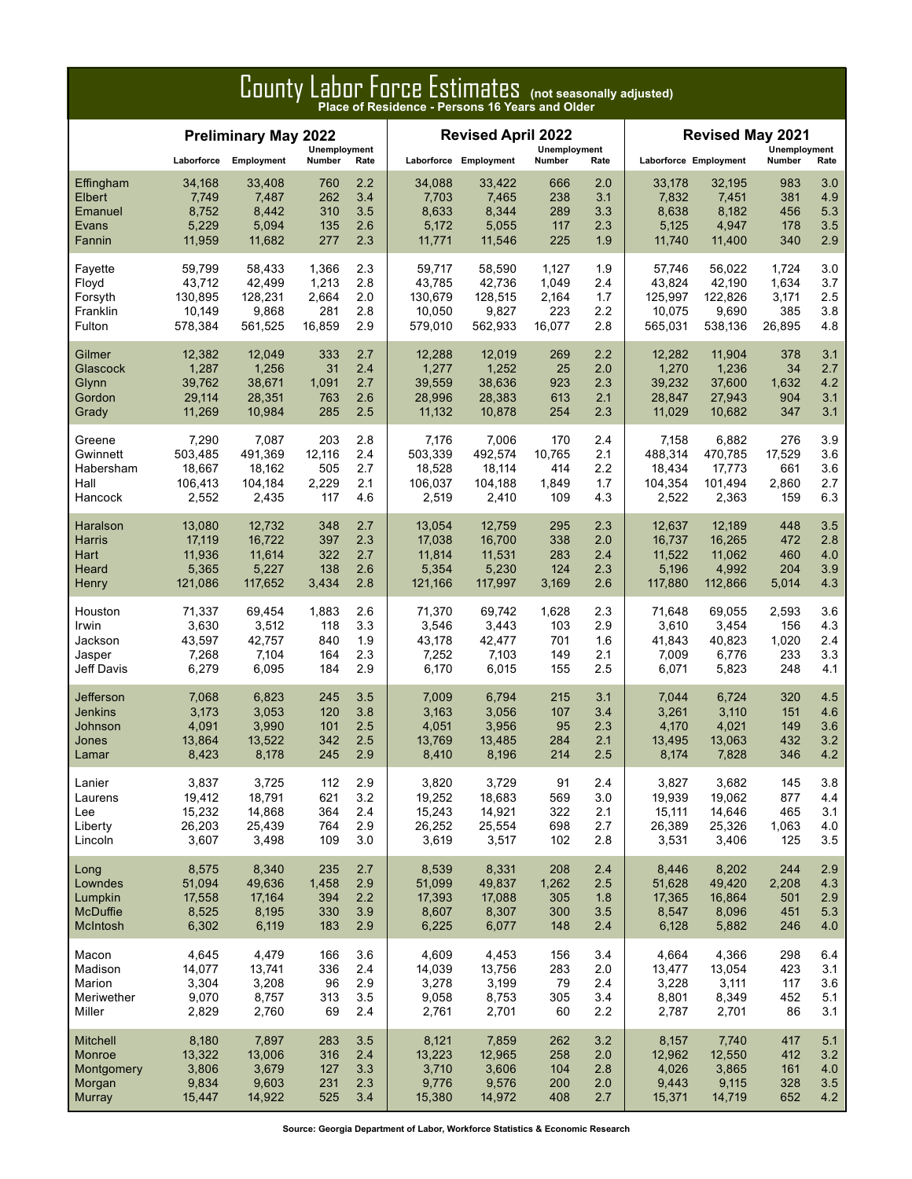| County Labor Force Estimates (not seasonally adjusted) |            |                             |               |      |         |                           |              |      |                       |                         |              |      |
|--------------------------------------------------------|------------|-----------------------------|---------------|------|---------|---------------------------|--------------|------|-----------------------|-------------------------|--------------|------|
|                                                        |            | <b>Preliminary May 2022</b> | Unemployment  |      |         | <b>Revised April 2022</b> | Unemployment |      |                       | <b>Revised May 2021</b> | Unemployment |      |
|                                                        | Laborforce | Employment                  | <b>Number</b> | Rate |         | Laborforce Employment     | Number       | Rate | Laborforce Employment |                         | Number       | Rate |
| Effingham                                              | 34,168     | 33,408                      | 760           | 2.2  | 34,088  | 33,422                    | 666          | 2.0  | 33,178                | 32,195                  | 983          | 3.0  |
| Elbert                                                 | 7,749      | 7,487                       | 262           | 3.4  | 7,703   | 7,465                     | 238          | 3.1  | 7,832                 | 7,451                   | 381          | 4.9  |
| Emanuel                                                | 8,752      | 8,442                       | 310           | 3.5  | 8,633   | 8,344                     | 289          | 3.3  | 8,638                 | 8,182                   | 456          | 5.3  |
| Evans                                                  | 5,229      | 5,094                       | 135           | 2.6  | 5,172   | 5,055                     | 117          | 2.3  | 5,125                 | 4,947                   | 178          | 3.5  |
| Fannin                                                 | 11,959     | 11,682                      | 277           | 2.3  | 11,771  | 11,546                    | 225          | 1.9  | 11,740                | 11,400                  | 340          | 2.9  |
| Fayette                                                | 59,799     | 58,433                      | 1,366         | 2.3  | 59,717  | 58,590                    | 1,127        | 1.9  | 57,746                | 56,022                  | 1,724        | 3.0  |
| Floyd                                                  | 43,712     | 42,499                      | 1,213         | 2.8  | 43.785  | 42,736                    | 1,049        | 2.4  | 43,824                | 42,190                  | 1,634        | 3.7  |
| Forsyth                                                | 130,895    | 128,231                     | 2,664         | 2.0  | 130,679 | 128,515                   | 2,164        | 1.7  | 125,997               | 122,826                 | 3,171        | 2.5  |
| Franklin                                               | 10,149     | 9,868                       | 281           | 2.8  | 10,050  | 9,827                     | 223          | 2.2  | 10,075                | 9,690                   | 385          | 3.8  |
| Fulton                                                 | 578,384    | 561,525                     | 16,859        | 2.9  | 579,010 | 562,933                   | 16,077       | 2.8  | 565,031               | 538,136                 | 26,895       | 4.8  |
| Gilmer                                                 | 12,382     | 12,049                      | 333           | 2.7  | 12,288  | 12,019                    | 269          | 2.2  | 12,282                | 11,904                  | 378          | 3.1  |
| Glascock                                               | 1,287      | 1,256                       | 31            | 2.4  | 1,277   | 1,252                     | 25           | 2.0  | 1,270                 | 1,236                   | 34           | 2.7  |
| Glynn                                                  | 39,762     | 38,671                      | 1,091         | 2.7  | 39,559  | 38,636                    | 923          | 2.3  | 39,232                | 37,600                  | 1,632        | 4.2  |
| Gordon                                                 | 29,114     | 28,351                      | 763           | 2.6  | 28,996  | 28,383                    | 613          | 2.1  | 28,847                | 27,943                  | 904          | 3.1  |
| Grady                                                  | 11,269     | 10,984                      | 285           | 2.5  | 11,132  | 10,878                    | 254          | 2.3  | 11,029                | 10,682                  | 347          | 3.1  |
| Greene                                                 | 7,290      | 7,087                       | 203           | 2.8  | 7,176   | 7,006                     | 170          | 2.4  | 7,158                 | 6,882                   | 276          | 3.9  |
| Gwinnett                                               | 503,485    | 491,369                     | 12,116        | 2.4  | 503.339 | 492,574                   | 10,765       | 2.1  | 488,314               | 470,785                 | 17,529       | 3.6  |
| Habersham                                              | 18,667     | 18,162                      | 505           | 2.7  | 18,528  | 18,114                    | 414          | 2.2  | 18,434                | 17,773                  | 661          | 3.6  |
| Hall                                                   | 106,413    | 104,184                     | 2,229         | 2.1  | 106,037 | 104,188                   | 1,849        | 1.7  | 104,354               | 101,494                 | 2,860        | 2.7  |
| Hancock                                                | 2,552      | 2,435                       | 117           | 4.6  | 2,519   | 2,410                     | 109          | 4.3  | 2,522                 | 2,363                   | 159          | 6.3  |
| Haralson                                               | 13,080     | 12,732                      | 348           | 2.7  | 13,054  | 12,759                    | 295          | 2.3  | 12,637                | 12,189                  | 448          | 3.5  |
| Harris                                                 | 17,119     | 16,722                      | 397           | 2.3  | 17,038  | 16,700                    | 338          | 2.0  | 16,737                | 16,265                  | 472          | 2.8  |
| Hart                                                   | 11,936     | 11,614                      | 322           | 2.7  | 11,814  | 11,531                    | 283          | 2.4  | 11,522                | 11,062                  | 460          | 4.0  |
| Heard                                                  | 5,365      | 5,227                       | 138           | 2.6  | 5,354   | 5,230                     | 124          | 2.3  | 5,196                 | 4,992                   | 204          | 3.9  |
| Henry                                                  | 121,086    | 117,652                     | 3,434         | 2.8  | 121,166 | 117,997                   | 3,169        | 2.6  | 117,880               | 112,866                 | 5,014        | 4.3  |
| Houston                                                | 71,337     | 69,454                      | 1,883         | 2.6  | 71,370  | 69,742                    | 1,628        | 2.3  | 71,648                | 69,055                  | 2,593        | 3.6  |
| Irwin                                                  | 3,630      | 3,512                       | 118           | 3.3  | 3,546   | 3,443                     | 103          | 2.9  | 3,610                 | 3,454                   | 156          | 4.3  |
| Jackson                                                | 43,597     | 42,757                      | 840           | 1.9  | 43,178  | 42,477                    | 701          | 1.6  | 41,843                | 40,823                  | 1,020        | 2.4  |
| Jasper                                                 | 7,268      | 7,104                       | 164           | 2.3  | 7,252   | 7,103                     | 149          | 2.1  | 7,009                 | 6,776                   | 233          | 3.3  |
| Jeff Davis                                             | 6,279      | 6,095                       | 184           | 2.9  | 6,170   | 6,015                     | 155          | 2.5  | 6,071                 | 5,823                   | 248          | 4.1  |
| Jefferson                                              | 7,068      | 6,823                       | 245           | 3.5  | 7,009   | 6,794                     | 215          | 3.1  | 7,044                 | 6,724                   | 320          | 4.5  |
| <b>Jenkins</b>                                         | 3,173      | 3,053                       | 120           | 3.8  | 3,163   | 3,056                     | 107          | 3.4  | 3,261                 | 3,110                   | 151          | 4.6  |
| Johnson                                                | 4,091      | 3,990                       | 101           | 2.5  | 4,051   | 3,956                     | 95           | 2.3  | 4,170                 | 4,021                   | 149          | 3.6  |
| Jones                                                  | 13,864     | 13,522                      | 342           | 2.5  | 13,769  | 13,485                    | 284          | 2.1  | 13,495                | 13,063                  | 432          | 3.2  |
| Lamar                                                  | 8,423      | 8,178                       | 245           | 2.9  | 8,410   | 8,196                     | 214          | 2.5  | 8,174                 | 7,828                   | 346          | 4.2  |
| Lanier                                                 | 3,837      | 3,725                       | 112           | 2.9  | 3,820   | 3,729                     | 91           | 2.4  | 3,827                 | 3,682                   | 145          | 3.8  |
| Laurens                                                | 19,412     | 18,791                      | 621           | 3.2  | 19,252  | 18,683                    | 569          | 3.0  | 19,939                | 19,062                  | 877          | 4.4  |
| Lee                                                    | 15,232     | 14,868                      | 364           | 2.4  | 15,243  | 14,921                    | 322          | 2.1  | 15,111                | 14,646                  | 465          | 3.1  |
| Liberty                                                | 26,203     | 25,439                      | 764           | 2.9  | 26,252  | 25,554                    | 698          | 2.7  | 26,389                | 25,326                  | 1,063        | 4.0  |
| Lincoln                                                | 3,607      | 3,498                       | 109           | 3.0  | 3,619   | 3,517                     | 102          | 2.8  | 3,531                 | 3,406                   | 125          | 3.5  |
| Long                                                   | 8,575      | 8,340                       | 235           | 2.7  | 8,539   | 8,331                     | 208          | 2.4  | 8,446                 | 8,202                   | 244          | 2.9  |
| Lowndes                                                | 51,094     | 49,636                      | 1,458         | 2.9  | 51,099  | 49,837                    | 1,262        | 2.5  | 51,628                | 49,420                  | 2,208        | 4.3  |
| Lumpkin                                                | 17,558     | 17,164                      | 394           | 2.2  | 17,393  | 17,088                    | 305          | 1.8  | 17,365                | 16,864                  | 501          | 2.9  |
| <b>McDuffie</b>                                        | 8,525      | 8,195                       | 330           | 3.9  | 8,607   | 8,307                     | 300          | 3.5  | 8,547                 | 8,096                   | 451          | 5.3  |
| McIntosh                                               | 6,302      | 6,119                       | 183           | 2.9  | 6,225   | 6,077                     | 148          | 2.4  | 6,128                 | 5,882                   | 246          | 4.0  |
| Macon                                                  | 4,645      | 4,479                       | 166           | 3.6  | 4,609   | 4,453                     | 156          | 3.4  | 4,664                 | 4,366                   | 298          | 6.4  |
| Madison                                                | 14,077     | 13,741                      | 336           | 2.4  | 14,039  | 13,756                    | 283          | 2.0  | 13,477                | 13,054                  | 423          | 3.1  |
| Marion                                                 | 3,304      | 3,208                       | 96            | 2.9  | 3,278   | 3,199                     | 79           | 2.4  | 3,228                 | 3,111                   | 117          | 3.6  |
| Meriwether                                             | 9,070      | 8,757                       | 313           | 3.5  | 9,058   | 8,753                     | 305          | 3.4  | 8,801                 | 8,349                   | 452          | 5.1  |
| Miller                                                 | 2,829      | 2,760                       | 69            | 2.4  | 2,761   | 2,701                     | 60           | 2.2  | 2,787                 | 2,701                   | 86           | 3.1  |
| <b>Mitchell</b>                                        | 8,180      | 7,897                       | 283           | 3.5  | 8,121   | 7,859                     | 262          | 3.2  | 8,157                 | 7,740                   | 417          | 5.1  |
| Monroe                                                 | 13,322     | 13,006                      | 316           | 2.4  | 13,223  | 12,965                    | 258          | 2.0  | 12,962                | 12,550                  | 412          | 3.2  |
| Montgomery                                             | 3,806      | 3,679                       | 127           | 3.3  | 3,710   | 3,606                     | 104          | 2.8  | 4,026                 | 3,865                   | 161          | 4.0  |
| Morgan                                                 | 9,834      | 9,603                       | 231           | 2.3  | 9,776   | 9,576                     | 200          | 2.0  | 9,443                 | 9,115                   | 328          | 3.5  |
| <b>Murray</b>                                          | 15,447     | 14,922                      | 525           | 3.4  | 15,380  | 14,972                    | 408          | 2.7  | 15,371                | 14,719                  | 652          | 4.2  |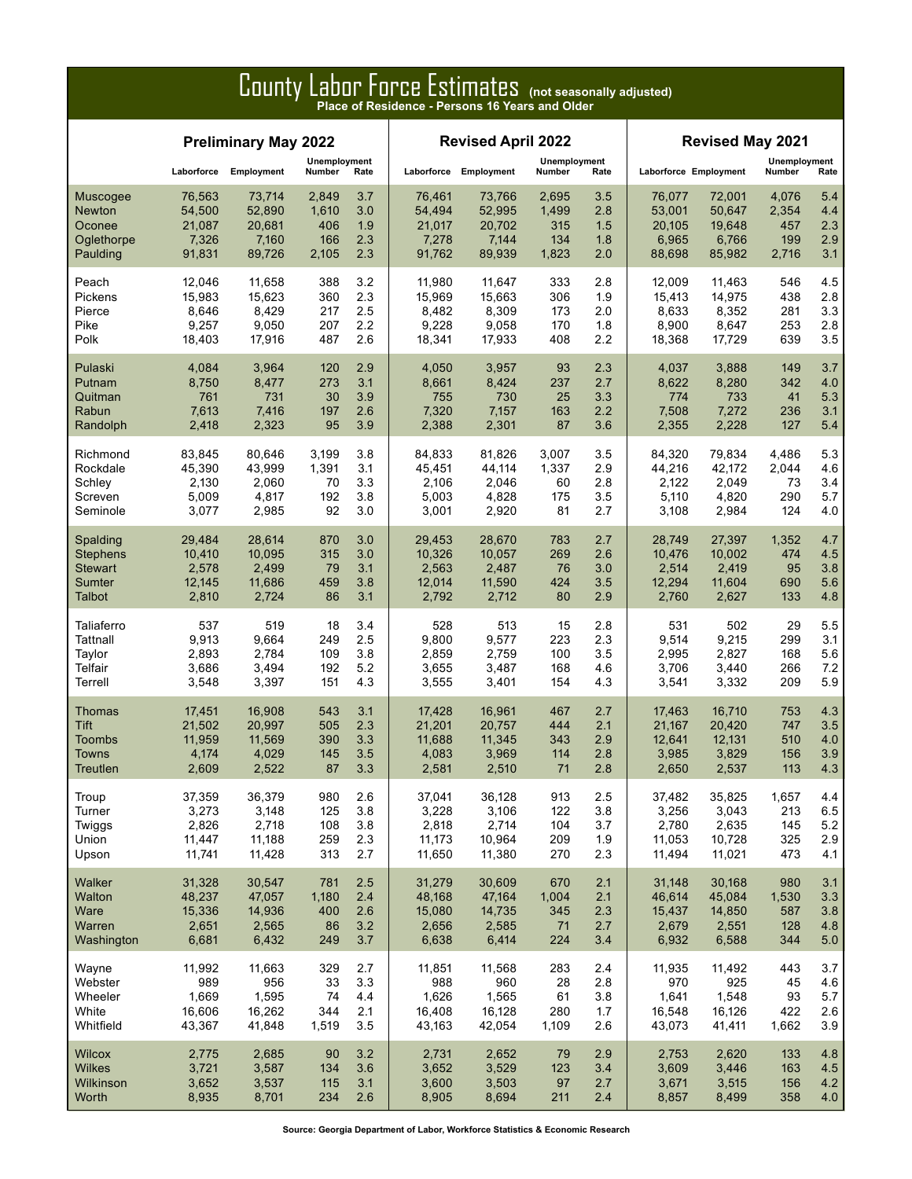|                 | ------<br>of for our countries to the process many aujusted,<br>Place of Residence - Persons 16 Years and Older |                             |                        |      |                           |        |                        |      |                       |                         |                        |      |  |
|-----------------|-----------------------------------------------------------------------------------------------------------------|-----------------------------|------------------------|------|---------------------------|--------|------------------------|------|-----------------------|-------------------------|------------------------|------|--|
|                 |                                                                                                                 | <b>Preliminary May 2022</b> |                        |      | <b>Revised April 2022</b> |        |                        |      |                       | <b>Revised May 2021</b> |                        |      |  |
|                 | Laborforce                                                                                                      | Employment                  | Unemployment<br>Number | Rate | Laborforce Employment     |        | Unemployment<br>Number | Rate | Laborforce Employment |                         | Unemployment<br>Number | Rate |  |
| Muscogee        | 76,563                                                                                                          | 73,714                      | 2,849                  | 3.7  | 76,461                    | 73,766 | 2,695                  | 3.5  | 76,077                | 72,001                  | 4,076                  | 5.4  |  |
| <b>Newton</b>   | 54,500                                                                                                          | 52,890                      | 1,610                  | 3.0  | 54,494                    | 52,995 | 1,499                  | 2.8  | 53,001                | 50,647                  | 2,354                  | 4.4  |  |
| Oconee          | 21,087                                                                                                          | 20,681                      | 406                    | 1.9  | 21,017                    | 20,702 | 315                    | 1.5  | 20,105                | 19,648                  | 457                    | 2.3  |  |
| Oglethorpe      | 7,326                                                                                                           | 7,160                       | 166                    | 2.3  | 7,278                     | 7,144  | 134                    | 1.8  | 6,965                 | 6,766                   | 199                    | 2.9  |  |
| Paulding        | 91,831                                                                                                          | 89,726                      | 2,105                  | 2.3  | 91,762                    | 89,939 | 1,823                  | 2.0  | 88,698                | 85,982                  | 2,716                  | 3.1  |  |
| Peach           | 12,046                                                                                                          | 11,658                      | 388                    | 3.2  | 11,980                    | 11,647 | 333                    | 2.8  | 12.009                | 11,463                  | 546                    | 4.5  |  |
| Pickens         | 15,983                                                                                                          | 15,623                      | 360                    | 2.3  | 15,969                    | 15,663 | 306                    | 1.9  | 15,413                | 14,975                  | 438                    | 2.8  |  |
| Pierce          | 8,646                                                                                                           | 8,429                       | 217                    | 2.5  | 8,482                     | 8,309  | 173                    | 2.0  | 8,633                 | 8,352                   | 281                    | 3.3  |  |
| Pike            | 9,257                                                                                                           | 9,050                       | 207                    | 2.2  | 9,228                     | 9,058  | 170                    | 1.8  | 8,900                 | 8,647                   | 253                    | 2.8  |  |
| Polk            | 18,403                                                                                                          | 17,916                      | 487                    | 2.6  | 18,341                    | 17,933 | 408                    | 2.2  | 18,368                | 17,729                  | 639                    | 3.5  |  |
| Pulaski         | 4,084                                                                                                           | 3,964                       | 120                    | 2.9  | 4,050                     | 3,957  | 93                     | 2.3  | 4,037                 | 3,888                   | 149                    | 3.7  |  |
| Putnam          | 8,750                                                                                                           | 8,477                       | 273                    | 3.1  | 8,661                     | 8,424  | 237                    | 2.7  | 8,622                 | 8,280                   | 342                    | 4.0  |  |
| Quitman         | 761                                                                                                             | 731                         | 30                     | 3.9  | 755                       | 730    | 25                     | 3.3  | 774                   | 733                     | 41                     | 5.3  |  |
| Rabun           | 7,613                                                                                                           | 7,416                       | 197                    | 2.6  | 7,320                     | 7,157  | 163                    | 2.2  | 7,508                 | 7,272                   | 236                    | 3.1  |  |
| Randolph        | 2,418                                                                                                           | 2,323                       | 95                     | 3.9  | 2,388                     | 2,301  | 87                     | 3.6  | 2,355                 | 2,228                   | 127                    | 5.4  |  |
| Richmond        | 83,845                                                                                                          | 80,646                      | 3,199                  | 3.8  | 84.833                    | 81,826 | 3,007                  | 3.5  | 84,320                | 79,834                  | 4,486                  | 5.3  |  |
| Rockdale        | 45,390                                                                                                          | 43,999                      | 1,391                  | 3.1  | 45,451                    | 44,114 | 1,337                  | 2.9  | 44,216                | 42,172                  | 2,044                  | 4.6  |  |
| Schley          | 2,130                                                                                                           | 2,060                       | 70                     | 3.3  | 2.106                     | 2,046  | 60                     | 2.8  | 2,122                 | 2,049                   | 73                     | 3.4  |  |
| Screven         | 5,009                                                                                                           | 4,817                       | 192                    | 3.8  | 5,003                     | 4,828  | 175                    | 3.5  | 5,110                 | 4,820                   | 290                    | 5.7  |  |
| Seminole        | 3,077                                                                                                           | 2,985                       | 92                     | 3.0  | 3,001                     | 2,920  | 81                     | 2.7  | 3,108                 | 2,984                   | 124                    | 4.0  |  |
| Spalding        | 29,484                                                                                                          | 28,614                      | 870                    | 3.0  | 29,453                    | 28,670 | 783                    | 2.7  | 28,749                | 27,397                  | 1,352                  | 4.7  |  |
| Stephens        | 10,410                                                                                                          | 10,095                      | 315                    | 3.0  | 10,326                    | 10,057 | 269                    | 2.6  | 10,476                | 10,002                  | 474                    | 4.5  |  |
| <b>Stewart</b>  | 2,578                                                                                                           | 2,499                       | 79                     | 3.1  | 2,563                     | 2,487  | 76                     | 3.0  | 2,514                 | 2,419                   | 95                     | 3.8  |  |
| Sumter          | 12,145                                                                                                          | 11,686                      | 459                    | 3.8  | 12,014                    | 11,590 | 424                    | 3.5  | 12,294                | 11,604                  | 690                    | 5.6  |  |
| Talbot          | 2,810                                                                                                           | 2,724                       | 86                     | 3.1  | 2,792                     | 2,712  | 80                     | 2.9  | 2,760                 | 2,627                   | 133                    | 4.8  |  |
| Taliaferro      | 537                                                                                                             | 519                         | 18                     | 3.4  | 528                       | 513    | 15                     | 2.8  | 531                   | 502                     | 29                     | 5.5  |  |
| Tattnall        | 9,913                                                                                                           | 9,664                       | 249                    | 2.5  | 9,800                     | 9,577  | 223                    | 2.3  | 9,514                 | 9,215                   | 299                    | 3.1  |  |
| Taylor          | 2,893                                                                                                           | 2,784                       | 109                    | 3.8  | 2,859                     | 2,759  | 100                    | 3.5  | 2,995                 | 2,827                   | 168                    | 5.6  |  |
| Telfair         | 3,686                                                                                                           | 3,494                       | 192                    | 5.2  | 3,655                     | 3,487  | 168                    | 4.6  | 3,706                 | 3,440                   | 266                    | 7.2  |  |
| Terrell         | 3,548                                                                                                           | 3,397                       | 151                    | 4.3  | 3,555                     | 3,401  | 154                    | 4.3  | 3,541                 | 3,332                   | 209                    | 5.9  |  |
| Thomas          | 17,451                                                                                                          | 16,908                      | 543                    | 3.1  | 17,428                    | 16,961 | 467                    | 2.7  | 17.463                | 16,710                  | 753                    | 4.3  |  |
| Tift            | 21,502                                                                                                          | 20,997                      | 505                    | 2.3  | 21,201                    | 20,757 | 444                    | 2.1  | 21,167                | 20,420                  | 747                    | 3.5  |  |
| Toombs          | 11,959                                                                                                          | 11,569                      | 390                    | 3.3  | 11,688                    | 11,345 | 343                    | 2.9  | 12,641                | 12,131                  | 510                    | 4.0  |  |
| <b>Towns</b>    | 4,174                                                                                                           | 4,029                       | 145                    | 3.5  | 4,083                     | 3,969  | 114                    | 2.8  | 3,985                 | 3,829                   | 156                    | 3.9  |  |
| <b>Treutlen</b> | 2,609                                                                                                           | 2,522                       | 87                     | 3.3  | 2,581                     | 2,510  | 71                     | 2.8  | 2,650                 | 2,537                   | 113                    | 4.3  |  |
| Troup           | 37,359                                                                                                          | 36,379                      | 980                    | 2.6  | 37,041                    | 36,128 | 913                    | 2.5  | 37,482                | 35,825                  | 1,657                  | 4.4  |  |
| Turner          | 3,273                                                                                                           | 3,148                       | 125                    | 3.8  | 3,228                     | 3,106  | 122                    | 3.8  | 3,256                 | 3,043                   | 213                    | 6.5  |  |
| Twiggs          | 2,826                                                                                                           | 2,718                       | 108                    | 3.8  | 2,818                     | 2,714  | 104                    | 3.7  | 2,780                 | 2,635                   | 145                    | 5.2  |  |
| Union           | 11,447                                                                                                          | 11,188                      | 259                    | 2.3  | 11,173                    | 10,964 | 209                    | 1.9  | 11,053                | 10,728                  | 325                    | 2.9  |  |
| Upson           | 11,741                                                                                                          | 11,428                      | 313                    | 2.7  | 11,650                    | 11,380 | 270                    | 2.3  | 11,494                | 11,021                  | 473                    | 4.1  |  |
| Walker          | 31,328                                                                                                          | 30,547                      | 781                    | 2.5  | 31,279                    | 30,609 | 670                    | 2.1  | 31,148                | 30,168                  | 980                    | 3.1  |  |
| Walton          | 48,237                                                                                                          | 47,057                      | 1,180                  | 2.4  | 48,168                    | 47,164 | 1,004                  | 2.1  | 46,614                | 45,084                  | 1,530                  | 3.3  |  |
| Ware            | 15,336                                                                                                          | 14,936                      | 400                    | 2.6  | 15,080                    | 14,735 | 345                    | 2.3  | 15,437                | 14,850                  | 587                    | 3.8  |  |
| Warren          | 2,651                                                                                                           | 2,565                       | 86                     | 3.2  | 2,656                     | 2,585  | 71                     | 2.7  | 2,679                 | 2,551                   | 128                    | 4.8  |  |
| Washington      | 6,681                                                                                                           | 6,432                       | 249                    | 3.7  | 6,638                     | 6,414  | 224                    | 3.4  | 6,932                 | 6,588                   | 344                    | 5.0  |  |
| Wayne           | 11,992                                                                                                          | 11,663                      | 329                    | 2.7  | 11,851                    | 11,568 | 283                    | 2.4  | 11,935                | 11,492                  | 443                    | 3.7  |  |
| Webster         | 989                                                                                                             | 956                         | 33                     | 3.3  | 988                       | 960    | 28                     | 2.8  | 970                   | 925                     | 45                     | 4.6  |  |
| Wheeler         | 1,669                                                                                                           | 1,595                       | 74                     | 4.4  | 1,626                     | 1,565  | 61                     | 3.8  | 1,641                 | 1,548                   | 93                     | 5.7  |  |
| White           | 16,606                                                                                                          | 16,262                      | 344                    | 2.1  | 16,408                    | 16,128 | 280                    | 1.7  | 16,548                | 16,126                  | 422                    | 2.6  |  |
| Whitfield       | 43,367                                                                                                          | 41,848                      | 1,519                  | 3.5  | 43,163                    | 42,054 | 1,109                  | 2.6  | 43,073                | 41,411                  | 1,662                  | 3.9  |  |
| Wilcox          | 2,775                                                                                                           | 2,685                       | 90                     | 3.2  | 2,731                     | 2,652  | 79                     | 2.9  | 2,753                 | 2,620                   | 133                    | 4.8  |  |
| Wilkes          | 3,721                                                                                                           | 3,587                       | 134                    | 3.6  | 3,652                     | 3,529  | 123                    | 3.4  | 3,609                 | 3,446                   | 163                    | 4.5  |  |
| Wilkinson       | 3,652                                                                                                           | 3,537                       | 115                    | 3.1  | 3,600                     | 3,503  | 97                     | 2.7  | 3,671                 | 3,515                   | 156                    | 4.2  |  |
| Worth           | 8,935                                                                                                           | 8,701                       | 234                    | 2.6  | 8,905                     | 8,694  | 211                    | 2.4  | 8,857                 | 8,499                   | 358                    | 4.0  |  |

# County Labor Force Estimates **(not seasonally adjusted)**